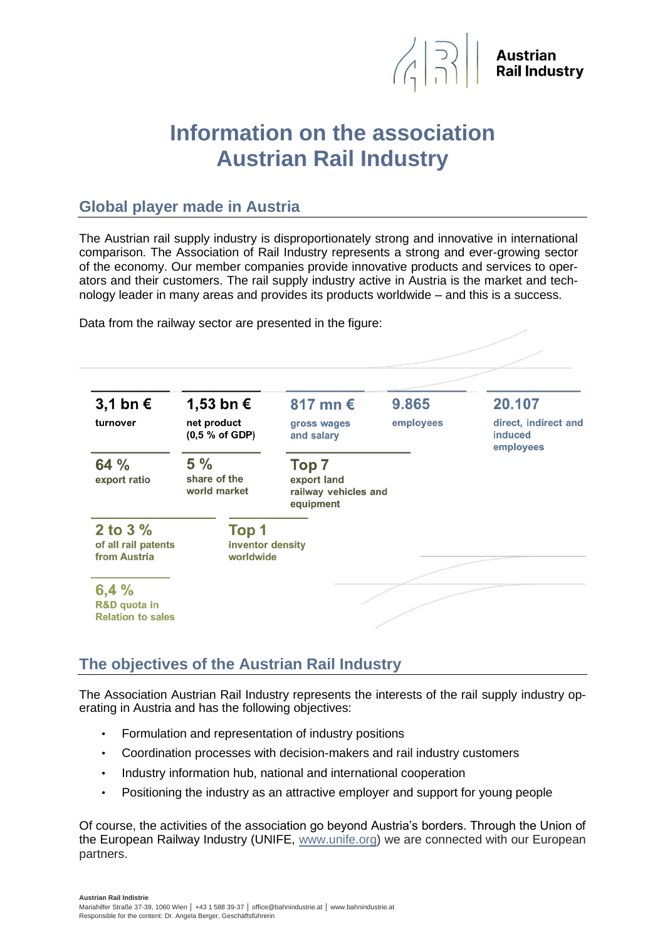

# **Information on the association Austrian Rail Industry**

#### **Global player made in Austria**

The Austrian rail supply industry is disproportionately strong and innovative in international comparison. The Association of Rail Industry represents a strong and ever-growing sector of the economy. Our member companies provide innovative products and services to operators and their customers. The rail supply industry active in Austria is the market and technology leader in many areas and provides its products worldwide – and this is a success.

Data from the railway sector are presented in the figure:



### **The objectives of the Austrian Rail Industry**

The Association Austrian Rail Industry represents the interests of the rail supply industry operating in Austria and has the following objectives:

- Formulation and representation of industry positions
- Coordination processes with decision-makers and rail industry customers
- Industry information hub, national and international cooperation
- Positioning the industry as an attractive employer and support for young people

Of course, the activities of the association go beyond Austria's borders. Through the Union of the European Railway Industry (UNIFE, [www.unife.org\)](http://www.unife.org/) we are connected with our European partners.